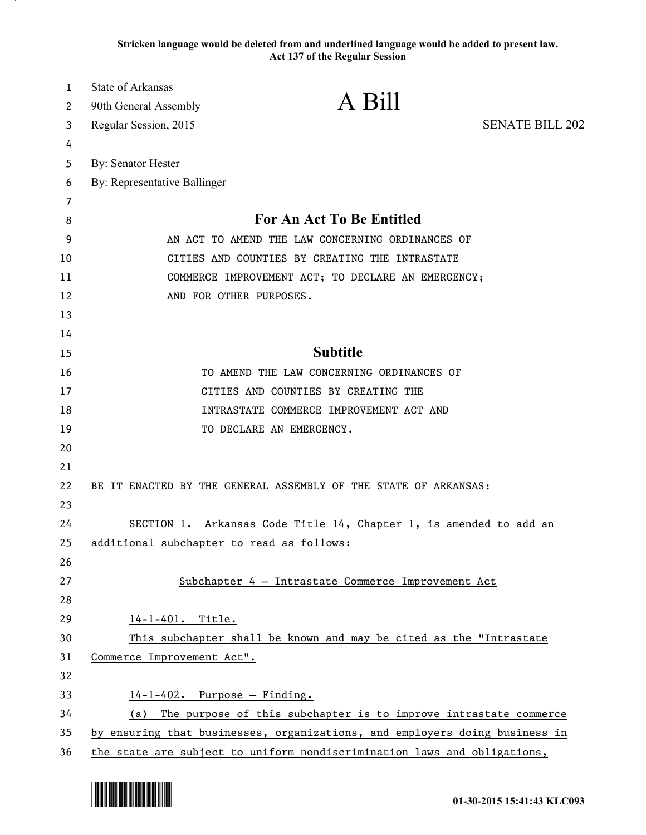**Stricken language would be deleted from and underlined language would be added to present law. Act 137 of the Regular Session**

| 1      | State of Arkansas                                                           | A Bill                                                             |                        |
|--------|-----------------------------------------------------------------------------|--------------------------------------------------------------------|------------------------|
| 2      | 90th General Assembly                                                       |                                                                    |                        |
| 3      | Regular Session, 2015                                                       |                                                                    | <b>SENATE BILL 202</b> |
| 4      |                                                                             |                                                                    |                        |
| 5      | By: Senator Hester                                                          |                                                                    |                        |
| 6      | By: Representative Ballinger                                                |                                                                    |                        |
| 7      |                                                                             | For An Act To Be Entitled                                          |                        |
| 8<br>9 | AN ACT TO AMEND THE LAW CONCERNING ORDINANCES OF                            |                                                                    |                        |
| 10     | CITIES AND COUNTIES BY CREATING THE INTRASTATE                              |                                                                    |                        |
| 11     | COMMERCE IMPROVEMENT ACT; TO DECLARE AN EMERGENCY;                          |                                                                    |                        |
| 12     | AND FOR OTHER PURPOSES.                                                     |                                                                    |                        |
| 13     |                                                                             |                                                                    |                        |
| 14     |                                                                             |                                                                    |                        |
| 15     |                                                                             | <b>Subtitle</b>                                                    |                        |
| 16     |                                                                             | TO AMEND THE LAW CONCERNING ORDINANCES OF                          |                        |
| 17     |                                                                             | CITIES AND COUNTIES BY CREATING THE                                |                        |
| 18     |                                                                             | INTRASTATE COMMERCE IMPROVEMENT ACT AND                            |                        |
| 19     |                                                                             | TO DECLARE AN EMERGENCY.                                           |                        |
| 20     |                                                                             |                                                                    |                        |
| 21     |                                                                             |                                                                    |                        |
| 22     |                                                                             | BE IT ENACTED BY THE GENERAL ASSEMBLY OF THE STATE OF ARKANSAS:    |                        |
| 23     |                                                                             |                                                                    |                        |
| 24     |                                                                             | SECTION 1. Arkansas Code Title 14, Chapter 1, is amended to add an |                        |
| 25     | additional subchapter to read as follows:                                   |                                                                    |                        |
| 26     |                                                                             |                                                                    |                        |
| 27     |                                                                             | Subchapter 4 - Intrastate Commerce Improvement Act                 |                        |
| 28     |                                                                             |                                                                    |                        |
| 29     | $14 - 1 - 401$ . Title.                                                     |                                                                    |                        |
| 30     | This subchapter shall be known and may be cited as the "Intrastate          |                                                                    |                        |
| 31     | Commerce Improvement Act".                                                  |                                                                    |                        |
| 32     |                                                                             |                                                                    |                        |
| 33     | $14 - 1 - 402$ . Purpose - Finding.                                         |                                                                    |                        |
| 34     | (a) The purpose of this subchapter is to improve intrastate commerce        |                                                                    |                        |
| 35     | by ensuring that businesses, organizations, and employers doing business in |                                                                    |                        |
| 36     | the state are subject to uniform nondiscrimination laws and obligations,    |                                                                    |                        |